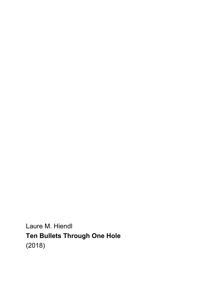Laure M. Hiendl **Ten Bullets Through One Hole** (2018)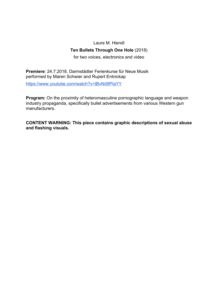## Laure M. Hiendl **Ten Bullets Through One Hole** (2018)

for two voices, electronics and video

**Premiere**: 24.7.2018, Darmstädter Ferienkurse für Neue Musik performed by Maren Schwier and Rupert Entnickap

<https://www.youtube.com/watch?v=tBvNd9PIaYY>

**Program:** On the proximity of heteromasculine pornographic language and weapon industry propaganda, specifically bullet advertisements from various Western gun manufacturers.

**CONTENT WARNING: This piece contains graphic descriptions of sexual abuse and flashing visuals.**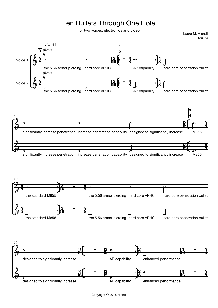## Ten Bullets Through One Hole

for two voices, electronics and video





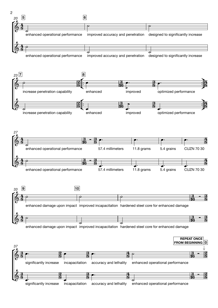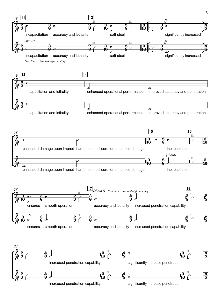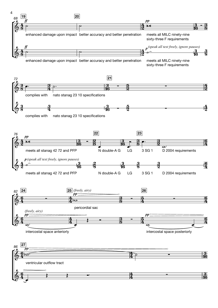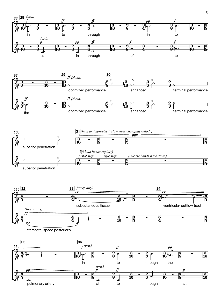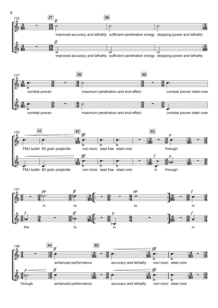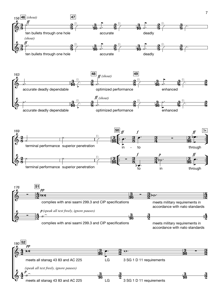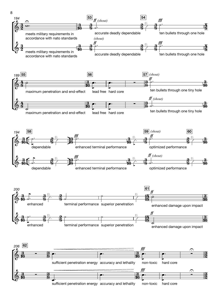

sufficient penetration energy accuracy and lethality non-toxic